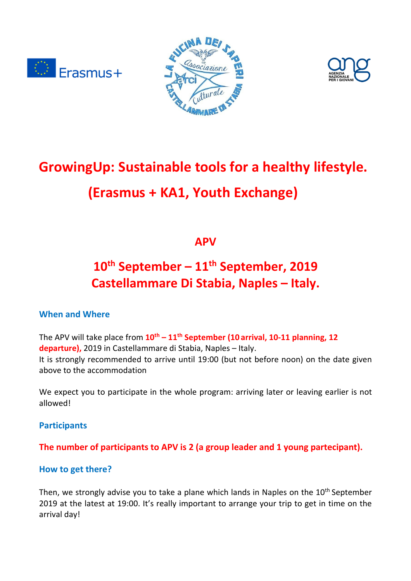





# **GrowingUp: Sustainable tools for a healthy lifestyle. (Erasmus + KA1, Youth Exchange)**

**APV** 

# **10th September – 11th September, 2019 Castellammare Di Stabia, Naples – Italy.**

# **When and Where**

The APV will take place from **10th – 11th September (10 arrival, 10-11 planning, 12 departure),** 2019 in Castellammare di Stabia, Naples – Italy. It is strongly recommended to arrive until 19:00 (but not before noon) on the date given above to the accommodation

We expect you to participate in the whole program: arriving later or leaving earlier is not allowed!

**Participants** 

# **The number of participants to APV is 2 (a group leader and 1 young partecipant).**

## **How to get there?**

Then, we strongly advise you to take a plane which lands in Naples on the  $10<sup>th</sup>$  September 2019 at the latest at 19:00. It's really important to arrange your trip to get in time on the arrival day!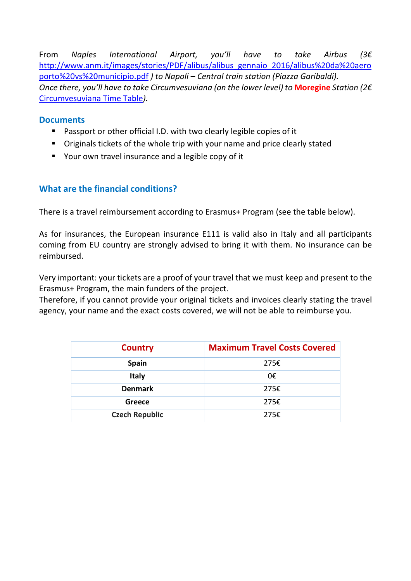From *Naples International Airport, you'll have to take Airbus (3€*  http://www.anm.it/images/stories/PDF/alibus/alibus\_gennaio\_2016/alibus%20da%20aero porto%20vs%20municipio.pdf *) to Napoli – Central train station (Piazza Garibaldi). Once there, you'll have to take Circumvesuviana (on the lower level) to* **Moregine** *Station (2€* Circumvesuviana Time Table*).*

#### **Documents**

- **Passport or other official I.D. with two clearly legible copies of it**
- Originals tickets of the whole trip with your name and price clearly stated
- Your own travel insurance and a legible copy of it

## **What are the financial conditions?**

There is a travel reimbursement according to Erasmus+ Program (see the table below).

As for insurances, the European insurance E111 is valid also in Italy and all participants coming from EU country are strongly advised to bring it with them. No insurance can be reimbursed.

Very important: your tickets are a proof of your travel that we must keep and present to the Erasmus+ Program, the main funders of the project.

Therefore, if you cannot provide your original tickets and invoices clearly stating the travel agency, your name and the exact costs covered, we will not be able to reimburse you.

| <b>Country</b>        | <b>Maximum Travel Costs Covered</b> |
|-----------------------|-------------------------------------|
| <b>Spain</b>          | 275€                                |
| <b>Italy</b>          | 0€                                  |
| <b>Denmark</b>        | 275€                                |
| Greece                | 275€                                |
| <b>Czech Republic</b> | 275€                                |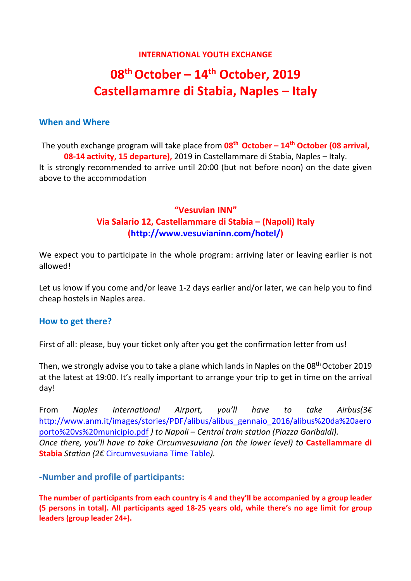#### **INTERNATIONAL YOUTH EXCHANGE**

# **08th October – 14th October, 2019 Castellamamre di Stabia, Naples – Italy**

#### **When and Where**

The youth exchange program will take place from **08th October – 14th October (08 arrival, 08-14 activity, 15 departure),** 2019 in Castellammare di Stabia, Naples – Italy. It is strongly recommended to arrive until 20:00 (but not before noon) on the date given above to the accommodation

# **"Vesuvian INN" Via Salario 12, Castellammare di Stabia – (Napoli) Italy (http://www.vesuvianinn.com/hotel/)**

We expect you to participate in the whole program: arriving later or leaving earlier is not allowed!

Let us know if you come and/or leave 1-2 days earlier and/or later, we can help you to find cheap hostels in Naples area.

#### **How to get there?**

First of all: please, buy your ticket only after you get the confirmation letter from us!

Then, we strongly advise you to take a plane which lands in Naples on the 08<sup>th</sup> October 2019 at the latest at 19:00. It's really important to arrange your trip to get in time on the arrival day!

From *Naples International Airport, you'll have to take Airbus(3€*  http://www.anm.it/images/stories/PDF/alibus/alibus\_gennaio\_2016/alibus%20da%20aero porto%20vs%20municipio.pdf *) to Napoli – Central train station (Piazza Garibaldi). Once there, you'll have to take Circumvesuviana (on the lower level) to* **Castellammare di Stabia** *Station (2€* Circumvesuviana Time Table*).*

#### **-Number and profile of participants:**

**The number of participants from each country is 4 and they'll be accompanied by a group leader (5 persons in total). All participants aged 18-25 years old, while there's no age limit for group leaders (group leader 24+).**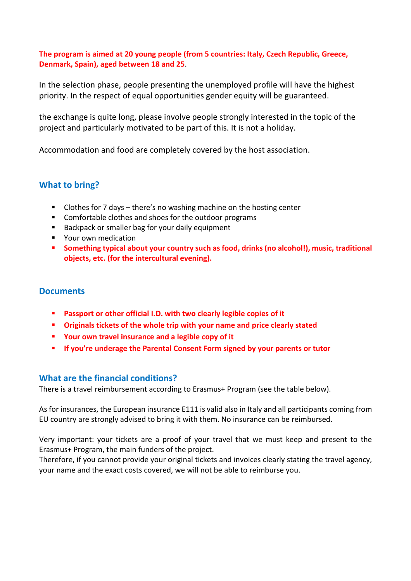#### **The program is aimed at 20 young people (from 5 countries: Italy, Czech Republic, Greece, Denmark, Spain), aged between 18 and 25**.

In the selection phase, people presenting the unemployed profile will have the highest priority. In the respect of equal opportunities gender equity will be guaranteed.

the exchange is quite long, please involve people strongly interested in the topic of the project and particularly motivated to be part of this. It is not a holiday.

Accommodation and food are completely covered by the host association.

## **What to bring?**

- Clothes for 7 days there's no washing machine on the hosting center
- Comfortable clothes and shoes for the outdoor programs
- Backpack or smaller bag for your daily equipment
- **P** Your own medication
- **Something typical about your country such as food, drinks (no alcohol!), music, traditional objects, etc. (for the intercultural evening).**

#### **Documents**

- **Passport or other official I.D. with two clearly legible copies of it**
- **Originals tickets of the whole trip with your name and price clearly stated**
- **Your own travel insurance and a legible copy of it**
- **If you're underage the Parental Consent Form signed by your parents or tutor**

#### **What are the financial conditions?**

There is a travel reimbursement according to Erasmus+ Program (see the table below).

As for insurances, the European insurance E111 is valid also in Italy and all participants coming from EU country are strongly advised to bring it with them. No insurance can be reimbursed.

Very important: your tickets are a proof of your travel that we must keep and present to the Erasmus+ Program, the main funders of the project.

Therefore, if you cannot provide your original tickets and invoices clearly stating the travel agency, your name and the exact costs covered, we will not be able to reimburse you.